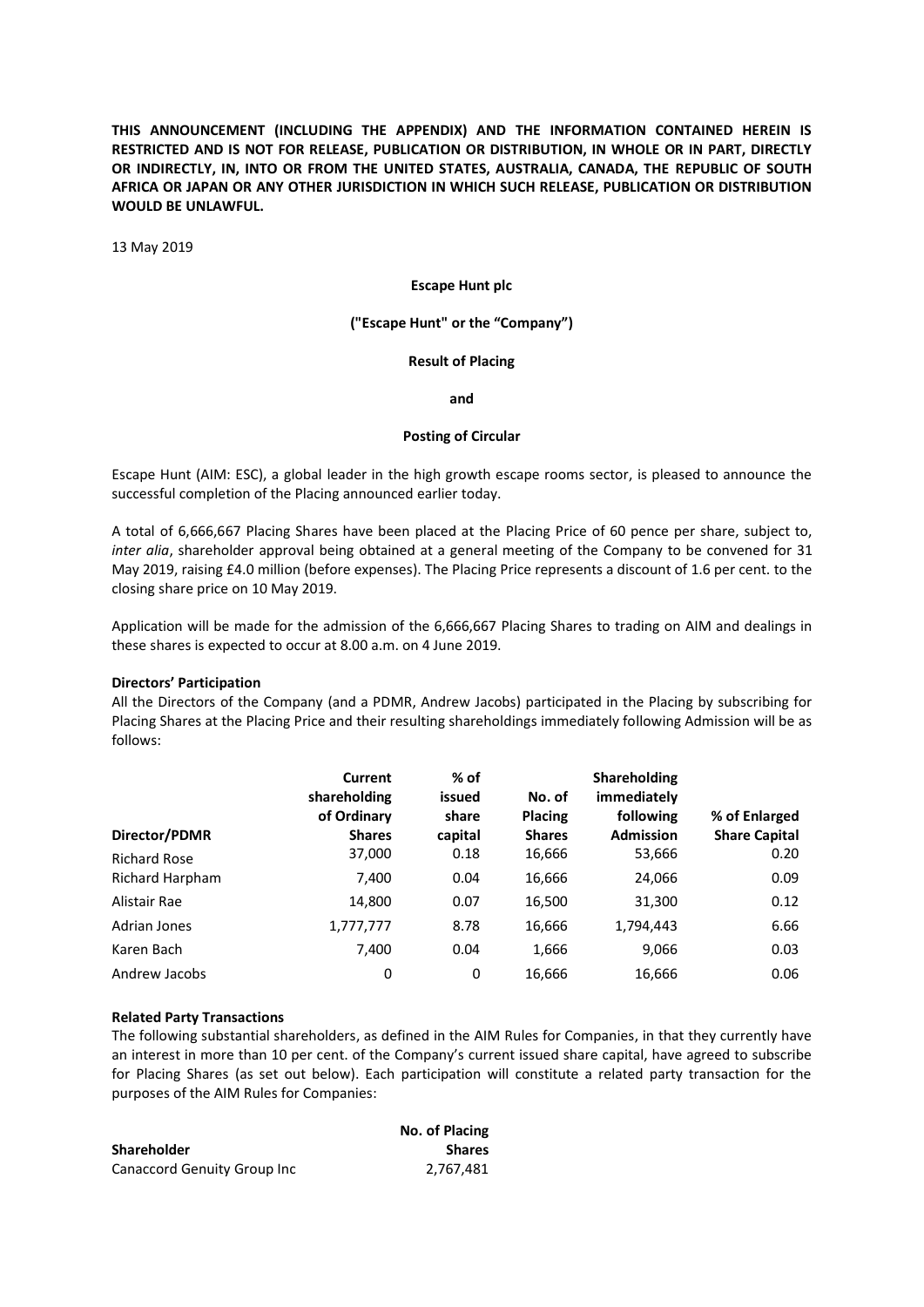**THIS ANNOUNCEMENT (INCLUDING THE APPENDIX) AND THE INFORMATION CONTAINED HEREIN IS RESTRICTED AND IS NOT FOR RELEASE, PUBLICATION OR DISTRIBUTION, IN WHOLE OR IN PART, DIRECTLY OR INDIRECTLY, IN, INTO OR FROM THE UNITED STATES, AUSTRALIA, CANADA, THE REPUBLIC OF SOUTH AFRICA OR JAPAN OR ANY OTHER JURISDICTION IN WHICH SUCH RELEASE, PUBLICATION OR DISTRIBUTION WOULD BE UNLAWFUL.**

13 May 2019

# **Escape Hunt plc**

# **("Escape Hunt" or the "Company")**

# **Result of Placing**

**and**

# **Posting of Circular**

Escape Hunt (AIM: ESC), a global leader in the high growth escape rooms sector, is pleased to announce the successful completion of the Placing announced earlier today.

A total of 6,666,667 Placing Shares have been placed at the Placing Price of 60 pence per share, subject to, *inter alia*, shareholder approval being obtained at a general meeting of the Company to be convened for 31 May 2019, raising £4.0 million (before expenses). The Placing Price represents a discount of 1.6 per cent. to the closing share price on 10 May 2019.

Application will be made for the admission of the 6,666,667 Placing Shares to trading on AIM and dealings in these shares is expected to occur at 8.00 a.m. on 4 June 2019.

#### **Directors' Participation**

All the Directors of the Company (and a PDMR, Andrew Jacobs) participated in the Placing by subscribing for Placing Shares at the Placing Price and their resulting shareholdings immediately following Admission will be as follows:

| Director/PDMR          | Current<br>shareholding<br>of Ordinary<br><b>Shares</b> | % of<br>issued<br>share<br>capital | No. of<br><b>Placing</b><br><b>Shares</b> | <b>Shareholding</b><br>immediately<br>following<br><b>Admission</b> | % of Enlarged<br><b>Share Capital</b> |
|------------------------|---------------------------------------------------------|------------------------------------|-------------------------------------------|---------------------------------------------------------------------|---------------------------------------|
| <b>Richard Rose</b>    | 37,000                                                  | 0.18                               | 16,666                                    | 53,666                                                              | 0.20                                  |
| <b>Richard Harpham</b> | 7,400                                                   | 0.04                               | 16,666                                    | 24,066                                                              | 0.09                                  |
| Alistair Rae           | 14,800                                                  | 0.07                               | 16,500                                    | 31,300                                                              | 0.12                                  |
| Adrian Jones           | 1,777,777                                               | 8.78                               | 16,666                                    | 1,794,443                                                           | 6.66                                  |
| Karen Bach             | 7,400                                                   | 0.04                               | 1,666                                     | 9,066                                                               | 0.03                                  |
| Andrew Jacobs          | 0                                                       | 0                                  | 16,666                                    | 16,666                                                              | 0.06                                  |

# **Related Party Transactions**

The following substantial shareholders, as defined in the AIM Rules for Companies, in that they currently have an interest in more than 10 per cent. of the Company's current issued share capital, have agreed to subscribe for Placing Shares (as set out below). Each participation will constitute a related party transaction for the purposes of the AIM Rules for Companies:

|                             | No. of Placing |
|-----------------------------|----------------|
| <b>Shareholder</b>          | <b>Shares</b>  |
| Canaccord Genuity Group Inc | 2.767.481      |